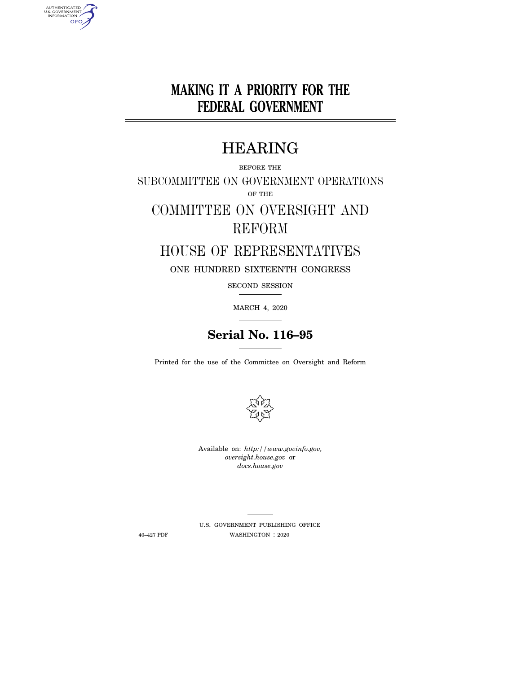# **MAKING IT A PRIORITY FOR THE FEDERAL GOVERNMENT**

## HEARING

BEFORE THE SUBCOMMITTEE ON GOVERNMENT OPERATIONS OF THE

# COMMITTEE ON OVERSIGHT AND REFORM

## HOUSE OF REPRESENTATIVES

ONE HUNDRED SIXTEENTH CONGRESS

SECOND SESSION

MARCH 4, 2020

## **Serial No. 116–95**

Printed for the use of the Committee on Oversight and Reform



Available on: *http://www.govinfo.gov, oversight.house.gov* or *docs.house.gov* 

U.S. GOVERNMENT PUBLISHING OFFICE 40–427 PDF WASHINGTON : 2020

AUTHENTICATED<br>U.S. GOVERNMENT<br>INFORMATION GPO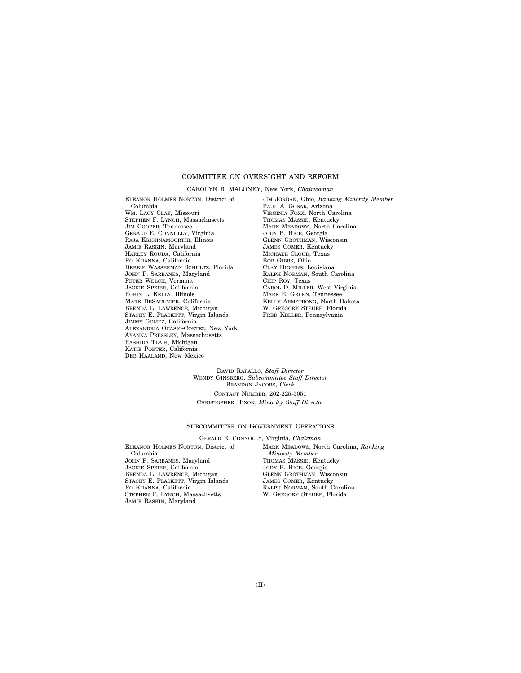### COMMITTEE ON OVERSIGHT AND REFORM

### CAROLYN B. MALONEY, New York, *Chairwoman*

ELEANOR HOLMES NORTON, District of Columbia WM. LACY CLAY, Missouri STEPHEN F. LYNCH, Massachusetts JIM COOPER, Tennessee GERALD E. CONNOLLY, Virginia RAJA KRISHNAMOORTHI, Illinois JAMIE RASKIN, Maryland HARLEY ROUDA, California RO KHANNA, California DEBBIE WASSERMAN SCHULTZ, Florida JOHN P. SARBANES, Maryland PETER WELCH, Vermont JACKIE SPEIER, California ROBIN L. KELLY, Illinois MARK DESAULNIER, California BRENDA L. LAWRENCE, Michigan STACEY E. PLASKETT, Virgin Islands JIMMY GOMEZ, California ALEXANDRIA OCASIO-CORTEZ, New York AYANNA PRESSLEY, Massachusetts RASHIDA TLAIB, Michigan KATIE PORTER, California DEB HAALAND, New Mexico

JIM JORDAN, Ohio, *Ranking Minority Member*  PAUL A. GOSAR, Arizona VIRGINIA FOXX, North Carolina THOMAS MASSIE, Kentucky MARK MEADOWS, North Carolina JODY B. HICE, Georgia GLENN GROTHMAN, Wisconsin JAMES COMER, Kentucky MICHAEL CLOUD, Texas BOB GIBBS, Ohio CLAY HIGGINS, Louisiana RALPH NORMAN, South Carolina CHIP ROY, Texas CAROL D. MILLER, West Virginia MARK E. GREEN, Tennessee KELLY ARMSTRONG, North Dakota W. GREGORY STEUBE, Florida FRED KELLER, Pennsylvania

DAVID RAPALLO, *Staff Director*  WENDY GINSBERG, *Subcommittee Staff Director*  BRANDON JACOBS, *Clerk*  CONTACT NUMBER: 202-225-5051 CHRISTOPHER HIXON, *Minority Staff Director* 

#### SUBCOMMITTEE ON GOVERNMENT OPERATIONS

GERALD E. CONNOLLY, Virginia, *Chairman* 

ELEANOR HOLMES NORTON, District of Columbia JOHN P. SARBANES, Maryland JACKIE SPEIER, California BRENDA L. LAWRENCE, Michigan STACEY E. PLASKETT, Virgin Islands RO KHANNA, California STEPHEN F. LYNCH, Massachsetts JAMIE RASKIN, Maryland

MARK MEADOWS, North Carolina, *Ranking Minority Member*  THOMAS MASSIE, Kentucky JODY B. HICE, Georgia GLENN GROTHMAN, Wisconsin JAMES COMER, Kentucky RALPH NORMAN, South Carolina W. GREGORY STEUBE, Florida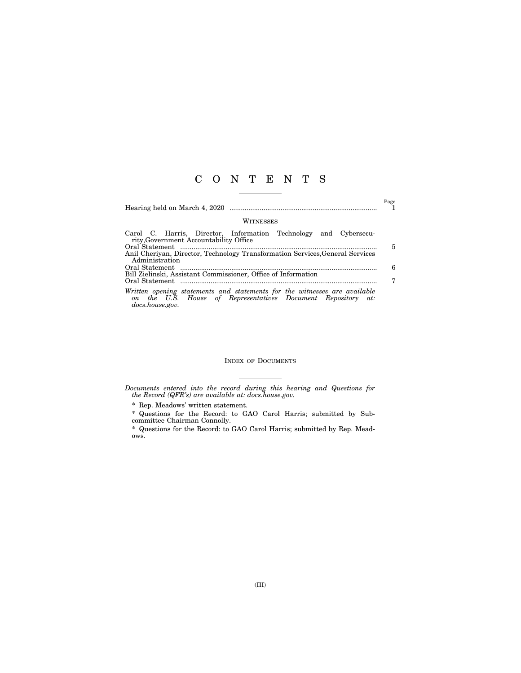## C O N T E N T S

Hearing held on March 4, 2020 .............................................................................. 1

Page

### **WITNESSES**

|                                                                               |  |  | Carol C. Harris, Director, Information Technology and Cybersecu-                                                                          |  |  |  |   |
|-------------------------------------------------------------------------------|--|--|-------------------------------------------------------------------------------------------------------------------------------------------|--|--|--|---|
| rity, Government Accountability Office                                        |  |  |                                                                                                                                           |  |  |  |   |
|                                                                               |  |  |                                                                                                                                           |  |  |  | 5 |
| Anil Cheriyan, Director, Technology Transformation Services, General Services |  |  |                                                                                                                                           |  |  |  |   |
| Administration                                                                |  |  |                                                                                                                                           |  |  |  |   |
|                                                                               |  |  |                                                                                                                                           |  |  |  | 6 |
| Bill Zielinski, Assistant Commissioner, Office of Information                 |  |  |                                                                                                                                           |  |  |  |   |
|                                                                               |  |  |                                                                                                                                           |  |  |  |   |
| docs.house.gov.                                                               |  |  | Written opening statements and statements for the witnesses are available<br>on the U.S. House of Representatives Document Repository at: |  |  |  |   |

### INDEX OF DOCUMENTS

*Documents entered into the record during this hearing and Questions for the Record (QFR's) are available at: docs.house.gov.* 

 $^\ast$  Rep. Meadows' written statement.

\* Questions for the Record: to GAO Carol Harris; submitted by Subcommittee Chairman Connolly.

\* Questions for the Record: to GAO Carol Harris; submitted by Rep. Meadows.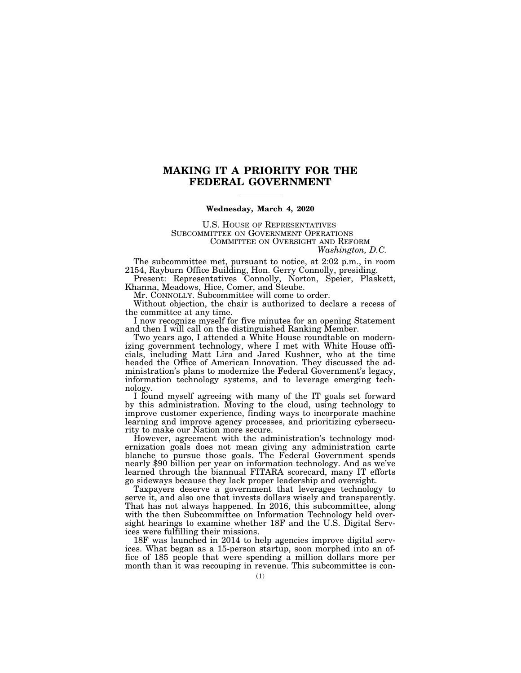### **MAKING IT A PRIORITY FOR THE FEDERAL GOVERNMENT**

### **Wednesday, March 4, 2020**

U.S. HOUSE OF REPRESENTATIVES SUBCOMMITTEE ON GOVERNMENT OPERATIONS COMMITTEE ON OVERSIGHT AND REFORM *Washington, D.C.* 

The subcommittee met, pursuant to notice, at 2:02 p.m., in room 2154, Rayburn Office Building, Hon. Gerry Connolly, presiding.

Present: Representatives Connolly, Norton, Speier, Plaskett, Khanna, Meadows, Hice, Comer, and Steube.

Mr. CONNOLLY. Subcommittee will come to order.

Without objection, the chair is authorized to declare a recess of the committee at any time.

I now recognize myself for five minutes for an opening Statement and then I will call on the distinguished Ranking Member.

Two years ago, I attended a White House roundtable on modernizing government technology, where I met with White House officials, including Matt Lira and Jared Kushner, who at the time headed the Office of American Innovation. They discussed the administration's plans to modernize the Federal Government's legacy, information technology systems, and to leverage emerging technology.

I found myself agreeing with many of the IT goals set forward by this administration. Moving to the cloud, using technology to improve customer experience, finding ways to incorporate machine learning and improve agency processes, and prioritizing cybersecurity to make our Nation more secure.

However, agreement with the administration's technology modernization goals does not mean giving any administration carte blanche to pursue those goals. The Federal Government spends nearly \$90 billion per year on information technology. And as we've learned through the biannual FITARA scorecard, many IT efforts go sideways because they lack proper leadership and oversight.

Taxpayers deserve a government that leverages technology to serve it, and also one that invests dollars wisely and transparently. That has not always happened. In 2016, this subcommittee, along with the then Subcommittee on Information Technology held oversight hearings to examine whether 18F and the U.S. Digital Services were fulfilling their missions.

18F was launched in 2014 to help agencies improve digital services. What began as a 15-person startup, soon morphed into an office of 185 people that were spending a million dollars more per month than it was recouping in revenue. This subcommittee is con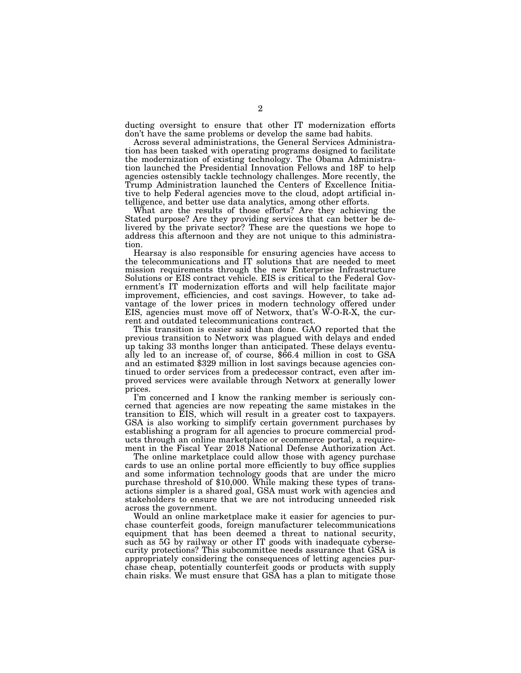ducting oversight to ensure that other IT modernization efforts don't have the same problems or develop the same bad habits.

Across several administrations, the General Services Administration has been tasked with operating programs designed to facilitate the modernization of existing technology. The Obama Administration launched the Presidential Innovation Fellows and 18F to help agencies ostensibly tackle technology challenges. More recently, the Trump Administration launched the Centers of Excellence Initiative to help Federal agencies move to the cloud, adopt artificial intelligence, and better use data analytics, among other efforts.

What are the results of those efforts? Are they achieving the Stated purpose? Are they providing services that can better be delivered by the private sector? These are the questions we hope to address this afternoon and they are not unique to this administration.

Hearsay is also responsible for ensuring agencies have access to the telecommunications and IT solutions that are needed to meet mission requirements through the new Enterprise Infrastructure Solutions or EIS contract vehicle. EIS is critical to the Federal Government's IT modernization efforts and will help facilitate major improvement, efficiencies, and cost savings. However, to take advantage of the lower prices in modern technology offered under EIS, agencies must move off of Networx, that's W-O-R-X, the current and outdated telecommunications contract.

This transition is easier said than done. GAO reported that the previous transition to Networx was plagued with delays and ended up taking 33 months longer than anticipated. These delays eventually led to an increase of, of course, \$66.4 million in cost to GSA and an estimated \$329 million in lost savings because agencies continued to order services from a predecessor contract, even after improved services were available through Networx at generally lower prices.

I'm concerned and I know the ranking member is seriously concerned that agencies are now repeating the same mistakes in the transition to EIS, which will result in a greater cost to taxpayers. GSA is also working to simplify certain government purchases by establishing a program for all agencies to procure commercial products through an online marketplace or ecommerce portal, a requirement in the Fiscal Year 2018 National Defense Authorization Act.

The online marketplace could allow those with agency purchase cards to use an online portal more efficiently to buy office supplies and some information technology goods that are under the micro purchase threshold of \$10,000. While making these types of transactions simpler is a shared goal, GSA must work with agencies and stakeholders to ensure that we are not introducing unneeded risk across the government.

Would an online marketplace make it easier for agencies to purchase counterfeit goods, foreign manufacturer telecommunications equipment that has been deemed a threat to national security, such as 5G by railway or other IT goods with inadequate cybersecurity protections? This subcommittee needs assurance that GSA is appropriately considering the consequences of letting agencies purchase cheap, potentially counterfeit goods or products with supply chain risks. We must ensure that GSA has a plan to mitigate those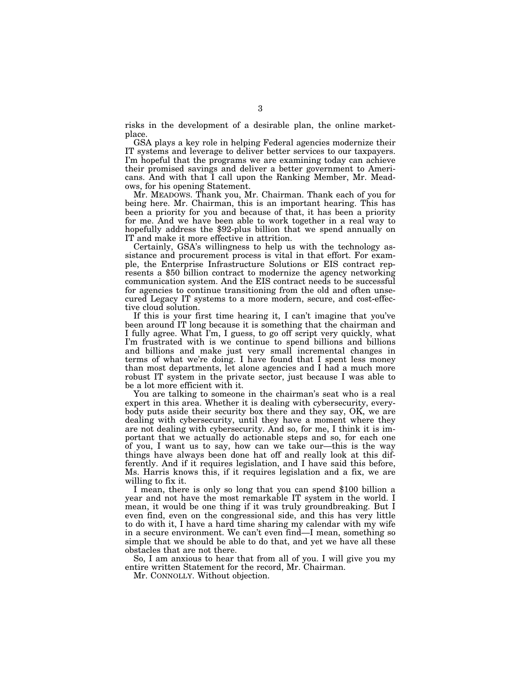risks in the development of a desirable plan, the online marketplace.

GSA plays a key role in helping Federal agencies modernize their IT systems and leverage to deliver better services to our taxpayers. I'm hopeful that the programs we are examining today can achieve their promised savings and deliver a better government to Americans. And with that I call upon the Ranking Member, Mr. Meadows, for his opening Statement.

Mr. MEADOWS. Thank you, Mr. Chairman. Thank each of you for being here. Mr. Chairman, this is an important hearing. This has been a priority for you and because of that, it has been a priority for me. And we have been able to work together in a real way to hopefully address the \$92-plus billion that we spend annually on IT and make it more effective in attrition.

Certainly, GSA's willingness to help us with the technology assistance and procurement process is vital in that effort. For example, the Enterprise Infrastructure Solutions or EIS contract represents a \$50 billion contract to modernize the agency networking communication system. And the EIS contract needs to be successful for agencies to continue transitioning from the old and often unsecured Legacy IT systems to a more modern, secure, and cost-effective cloud solution.

If this is your first time hearing it, I can't imagine that you've been around IT long because it is something that the chairman and I fully agree. What I'm, I guess, to go off script very quickly, what I'm frustrated with is we continue to spend billions and billions and billions and make just very small incremental changes in terms of what we're doing. I have found that I spent less money than most departments, let alone agencies and I had a much more robust IT system in the private sector, just because I was able to be a lot more efficient with it.

You are talking to someone in the chairman's seat who is a real expert in this area. Whether it is dealing with cybersecurity, everybody puts aside their security box there and they say, OK, we are dealing with cybersecurity, until they have a moment where they are not dealing with cybersecurity. And so, for me, I think it is important that we actually do actionable steps and so, for each one of you, I want us to say, how can we take our—this is the way things have always been done hat off and really look at this differently. And if it requires legislation, and I have said this before, Ms. Harris knows this, if it requires legislation and a fix, we are willing to fix it.

I mean, there is only so long that you can spend \$100 billion a year and not have the most remarkable IT system in the world. I mean, it would be one thing if it was truly groundbreaking. But I even find, even on the congressional side, and this has very little to do with it, I have a hard time sharing my calendar with my wife in a secure environment. We can't even find—I mean, something so simple that we should be able to do that, and yet we have all these obstacles that are not there.

So, I am anxious to hear that from all of you. I will give you my entire written Statement for the record, Mr. Chairman.

Mr. CONNOLLY. Without objection.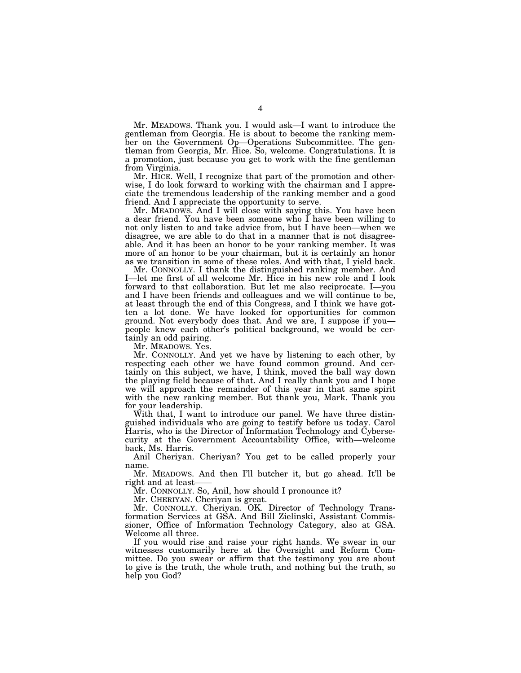Mr. MEADOWS. Thank you. I would ask—I want to introduce the gentleman from Georgia. He is about to become the ranking member on the Government Op—Operations Subcommittee. The gentleman from Georgia, Mr. Hice. So, welcome. Congratulations. It is a promotion, just because you get to work with the fine gentleman from Virginia.

Mr. HICE. Well, I recognize that part of the promotion and otherwise, I do look forward to working with the chairman and I appreciate the tremendous leadership of the ranking member and a good friend. And I appreciate the opportunity to serve.

Mr. MEADOWS. And I will close with saying this. You have been a dear friend. You have been someone who I have been willing to not only listen to and take advice from, but I have been—when we disagree, we are able to do that in a manner that is not disagreeable. And it has been an honor to be your ranking member. It was more of an honor to be your chairman, but it is certainly an honor as we transition in some of these roles. And with that, I yield back.

Mr. CONNOLLY. I thank the distinguished ranking member. And I—let me first of all welcome Mr. Hice in his new role and I look forward to that collaboration. But let me also reciprocate. I—you and I have been friends and colleagues and we will continue to be, at least through the end of this Congress, and I think we have gotten a lot done. We have looked for opportunities for common ground. Not everybody does that. And we are, I suppose if you people knew each other's political background, we would be certainly an odd pairing.

Mr. MEADOWS. Yes.

Mr. CONNOLLY. And yet we have by listening to each other, by respecting each other we have found common ground. And certainly on this subject, we have, I think, moved the ball way down the playing field because of that. And I really thank you and I hope we will approach the remainder of this year in that same spirit with the new ranking member. But thank you, Mark. Thank you for your leadership.

With that, I want to introduce our panel. We have three distinguished individuals who are going to testify before us today. Carol Harris, who is the Director of Information Technology and Cybersecurity at the Government Accountability Office, with—welcome back, Ms. Harris.

Anil Cheriyan. Cheriyan? You get to be called properly your name.

Mr. MEADOWS. And then I'll butcher it, but go ahead. It'll be right and at least-

Mr. CONNOLLY. So, Anil, how should I pronounce it?

Mr. CHERIYAN. Cheriyan is great.

Mr. CONNOLLY. Cheriyan. OK. Director of Technology Transformation Services at GSA. And Bill Zielinski, Assistant Commissioner, Office of Information Technology Category, also at GSA. Welcome all three.

If you would rise and raise your right hands. We swear in our witnesses customarily here at the Oversight and Reform Committee. Do you swear or affirm that the testimony you are about to give is the truth, the whole truth, and nothing but the truth, so help you God?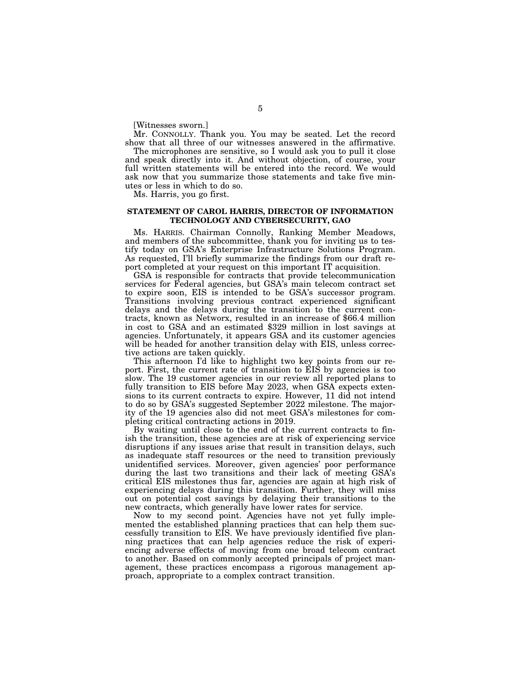[Witnesses sworn.]

Mr. CONNOLLY. Thank you. You may be seated. Let the record show that all three of our witnesses answered in the affirmative.

The microphones are sensitive, so I would ask you to pull it close and speak directly into it. And without objection, of course, your full written statements will be entered into the record. We would ask now that you summarize those statements and take five minutes or less in which to do so.

Ms. Harris, you go first.

### **STATEMENT OF CAROL HARRIS, DIRECTOR OF INFORMATION TECHNOLOGY AND CYBERSECURITY, GAO**

Ms. HARRIS. Chairman Connolly, Ranking Member Meadows, and members of the subcommittee, thank you for inviting us to testify today on GSA's Enterprise Infrastructure Solutions Program. As requested, I'll briefly summarize the findings from our draft report completed at your request on this important IT acquisition.

GSA is responsible for contracts that provide telecommunication services for Federal agencies, but GSA's main telecom contract set to expire soon, EIS is intended to be GSA's successor program. Transitions involving previous contract experienced significant delays and the delays during the transition to the current contracts, known as Networx, resulted in an increase of \$66.4 million in cost to GSA and an estimated \$329 million in lost savings at agencies. Unfortunately, it appears GSA and its customer agencies will be headed for another transition delay with EIS, unless corrective actions are taken quickly.

This afternoon I'd like to highlight two key points from our report. First, the current rate of transition to EIS by agencies is too slow. The 19 customer agencies in our review all reported plans to fully transition to EIS before May 2023, when GSA expects extensions to its current contracts to expire. However, 11 did not intend to do so by GSA's suggested September 2022 milestone. The majority of the 19 agencies also did not meet GSA's milestones for completing critical contracting actions in 2019.

By waiting until close to the end of the current contracts to finish the transition, these agencies are at risk of experiencing service disruptions if any issues arise that result in transition delays, such as inadequate staff resources or the need to transition previously unidentified services. Moreover, given agencies' poor performance during the last two transitions and their lack of meeting GSA's critical EIS milestones thus far, agencies are again at high risk of experiencing delays during this transition. Further, they will miss out on potential cost savings by delaying their transitions to the new contracts, which generally have lower rates for service.

Now to my second point. Agencies have not yet fully implemented the established planning practices that can help them successfully transition to EIS. We have previously identified five planning practices that can help agencies reduce the risk of experiencing adverse effects of moving from one broad telecom contract to another. Based on commonly accepted principals of project management, these practices encompass a rigorous management approach, appropriate to a complex contract transition.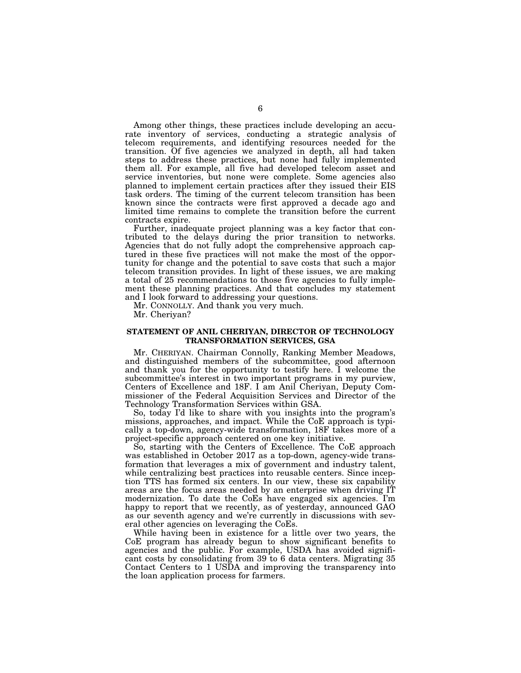Among other things, these practices include developing an accurate inventory of services, conducting a strategic analysis of telecom requirements, and identifying resources needed for the transition. Of five agencies we analyzed in depth, all had taken steps to address these practices, but none had fully implemented them all. For example, all five had developed telecom asset and service inventories, but none were complete. Some agencies also planned to implement certain practices after they issued their EIS task orders. The timing of the current telecom transition has been known since the contracts were first approved a decade ago and limited time remains to complete the transition before the current contracts expire.

Further, inadequate project planning was a key factor that contributed to the delays during the prior transition to networks. Agencies that do not fully adopt the comprehensive approach captured in these five practices will not make the most of the opportunity for change and the potential to save costs that such a major telecom transition provides. In light of these issues, we are making a total of 25 recommendations to those five agencies to fully implement these planning practices. And that concludes my statement and I look forward to addressing your questions.

Mr. CONNOLLY. And thank you very much.

Mr. Cheriyan?

### **STATEMENT OF ANIL CHERIYAN, DIRECTOR OF TECHNOLOGY TRANSFORMATION SERVICES, GSA**

Mr. CHERIYAN. Chairman Connolly, Ranking Member Meadows, and distinguished members of the subcommittee, good afternoon and thank you for the opportunity to testify here. I welcome the subcommittee's interest in two important programs in my purview, Centers of Excellence and 18F. I am Anil Cheriyan, Deputy Commissioner of the Federal Acquisition Services and Director of the Technology Transformation Services within GSA.

So, today I'd like to share with you insights into the program's missions, approaches, and impact. While the CoE approach is typically a top-down, agency-wide transformation, 18F takes more of a project-specific approach centered on one key initiative.

So, starting with the Centers of Excellence. The CoE approach was established in October 2017 as a top-down, agency-wide transformation that leverages a mix of government and industry talent, while centralizing best practices into reusable centers. Since inception TTS has formed six centers. In our view, these six capability areas are the focus areas needed by an enterprise when driving IT modernization. To date the CoEs have engaged six agencies. I'm happy to report that we recently, as of yesterday, announced GAO as our seventh agency and we're currently in discussions with several other agencies on leveraging the CoEs.

While having been in existence for a little over two years, the CoE program has already begun to show significant benefits to agencies and the public. For example, USDA has avoided significant costs by consolidating from 39 to 6 data centers. Migrating 35 Contact Centers to 1 USDA and improving the transparency into the loan application process for farmers.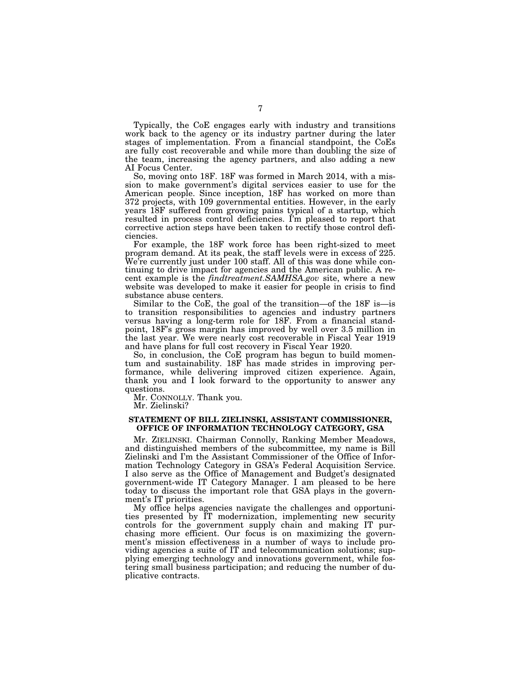Typically, the CoE engages early with industry and transitions work back to the agency or its industry partner during the later stages of implementation. From a financial standpoint, the CoEs are fully cost recoverable and while more than doubling the size of the team, increasing the agency partners, and also adding a new AI Focus Center.

So, moving onto 18F. 18F was formed in March 2014, with a mission to make government's digital services easier to use for the American people. Since inception, 18F has worked on more than 372 projects, with 109 governmental entities. However, in the early years 18F suffered from growing pains typical of a startup, which resulted in process control deficiencies. I'm pleased to report that corrective action steps have been taken to rectify those control deficiencies.

For example, the 18F work force has been right-sized to meet program demand. At its peak, the staff levels were in excess of 225. We're currently just under 100 staff. All of this was done while continuing to drive impact for agencies and the American public. A recent example is the *findtreatment.SAMHSA.gov* site, where a new website was developed to make it easier for people in crisis to find substance abuse centers.

Similar to the CoE, the goal of the transition—of the 18F is—is to transition responsibilities to agencies and industry partners versus having a long-term role for 18F. From a financial standpoint, 18F's gross margin has improved by well over 3.5 million in the last year. We were nearly cost recoverable in Fiscal Year 1919 and have plans for full cost recovery in Fiscal Year 1920.

So, in conclusion, the CoE program has begun to build momentum and sustainability. 18F has made strides in improving performance, while delivering improved citizen experience. Again, thank you and I look forward to the opportunity to answer any questions.

Mr. CONNOLLY. Thank you.

Mr. Zielinski?

### **STATEMENT OF BILL ZIELINSKI, ASSISTANT COMMISSIONER, OFFICE OF INFORMATION TECHNOLOGY CATEGORY, GSA**

Mr. ZIELINSKI. Chairman Connolly, Ranking Member Meadows, and distinguished members of the subcommittee, my name is Bill Zielinski and I'm the Assistant Commissioner of the Office of Information Technology Category in GSA's Federal Acquisition Service. I also serve as the Office of Management and Budget's designated government-wide IT Category Manager. I am pleased to be here today to discuss the important role that GSA plays in the government's IT priorities.

My office helps agencies navigate the challenges and opportunities presented by IT modernization, implementing new security controls for the government supply chain and making IT purchasing more efficient. Our focus is on maximizing the government's mission effectiveness in a number of ways to include providing agencies a suite of IT and telecommunication solutions; supplying emerging technology and innovations government, while fostering small business participation; and reducing the number of duplicative contracts.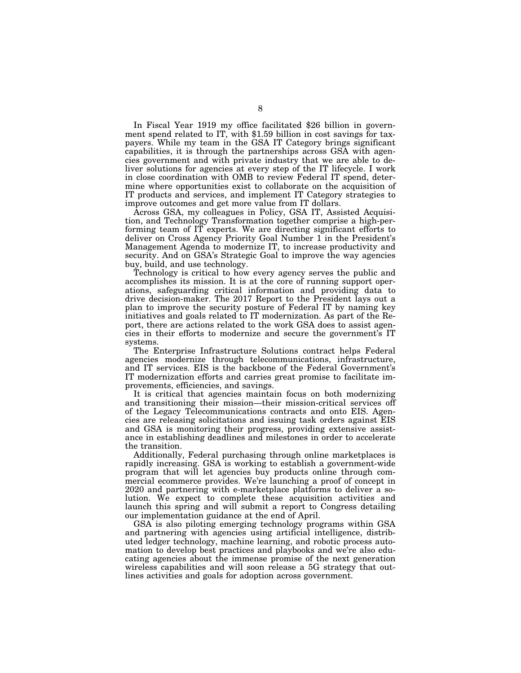In Fiscal Year 1919 my office facilitated \$26 billion in government spend related to IT, with \$1.59 billion in cost savings for taxpayers. While my team in the GSA IT Category brings significant capabilities, it is through the partnerships across GSA with agencies government and with private industry that we are able to deliver solutions for agencies at every step of the IT lifecycle. I work in close coordination with OMB to review Federal IT spend, determine where opportunities exist to collaborate on the acquisition of IT products and services, and implement IT Category strategies to improve outcomes and get more value from IT dollars.

Across GSA, my colleagues in Policy, GSA IT, Assisted Acquisition, and Technology Transformation together comprise a high-performing team of IT experts. We are directing significant efforts to deliver on Cross Agency Priority Goal Number 1 in the President's Management Agenda to modernize IT, to increase productivity and security. And on GSA's Strategic Goal to improve the way agencies buy, build, and use technology.

Technology is critical to how every agency serves the public and accomplishes its mission. It is at the core of running support operations, safeguarding critical information and providing data to drive decision-maker. The 2017 Report to the President lays out a plan to improve the security posture of Federal IT by naming key initiatives and goals related to IT modernization. As part of the Report, there are actions related to the work GSA does to assist agencies in their efforts to modernize and secure the government's IT systems.

The Enterprise Infrastructure Solutions contract helps Federal agencies modernize through telecommunications, infrastructure, and IT services. EIS is the backbone of the Federal Government's IT modernization efforts and carries great promise to facilitate improvements, efficiencies, and savings.

It is critical that agencies maintain focus on both modernizing and transitioning their mission—their mission-critical services off of the Legacy Telecommunications contracts and onto EIS. Agencies are releasing solicitations and issuing task orders against EIS and GSA is monitoring their progress, providing extensive assistance in establishing deadlines and milestones in order to accelerate the transition.

Additionally, Federal purchasing through online marketplaces is rapidly increasing. GSA is working to establish a government-wide program that will let agencies buy products online through commercial ecommerce provides. We're launching a proof of concept in 2020 and partnering with e-marketplace platforms to deliver a solution. We expect to complete these acquisition activities and launch this spring and will submit a report to Congress detailing our implementation guidance at the end of April.

GSA is also piloting emerging technology programs within GSA and partnering with agencies using artificial intelligence, distributed ledger technology, machine learning, and robotic process automation to develop best practices and playbooks and we're also educating agencies about the immense promise of the next generation wireless capabilities and will soon release a 5G strategy that outlines activities and goals for adoption across government.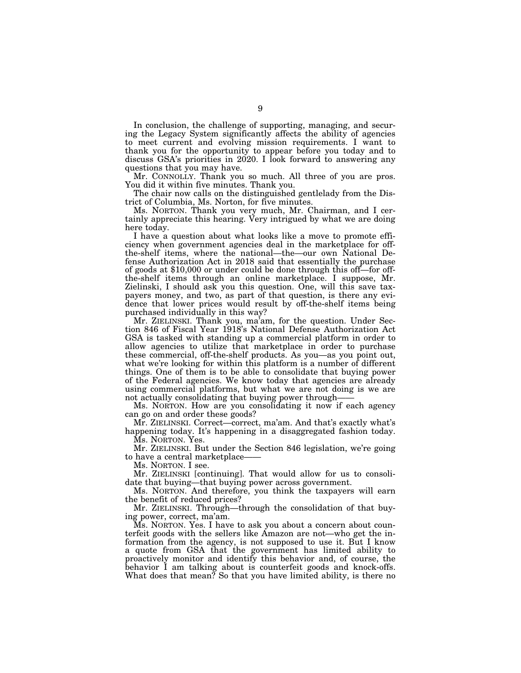In conclusion, the challenge of supporting, managing, and securing the Legacy System significantly affects the ability of agencies to meet current and evolving mission requirements. I want to thank you for the opportunity to appear before you today and to discuss GSA's priorities in 2020. I look forward to answering any questions that you may have.

Mr. CONNOLLY. Thank you so much. All three of you are pros. You did it within five minutes. Thank you.

The chair now calls on the distinguished gentlelady from the District of Columbia, Ms. Norton, for five minutes.

Ms. NORTON. Thank you very much, Mr. Chairman, and I certainly appreciate this hearing. Very intrigued by what we are doing here today.

I have a question about what looks like a move to promote efficiency when government agencies deal in the marketplace for offthe-shelf items, where the national—the—our own National Defense Authorization Act in 2018 said that essentially the purchase of goods at \$10,000 or under could be done through this off—for offthe-shelf items through an online marketplace. I suppose, Mr. Zielinski, I should ask you this question. One, will this save taxpayers money, and two, as part of that question, is there any evidence that lower prices would result by off-the-shelf items being purchased individually in this way?

Mr. ZIELINSKI. Thank you, ma'am, for the question. Under Section 846 of Fiscal Year 1918's National Defense Authorization Act GSA is tasked with standing up a commercial platform in order to allow agencies to utilize that marketplace in order to purchase these commercial, off-the-shelf products. As you—as you point out, what we're looking for within this platform is a number of different things. One of them is to be able to consolidate that buying power of the Federal agencies. We know today that agencies are already using commercial platforms, but what we are not doing is we are not actually consolidating that buying power through-

Ms. NORTON. How are you consolidating it now if each agency can go on and order these goods?

Mr. ZIELINSKI. Correct—correct, ma'am. And that's exactly what's happening today. It's happening in a disaggregated fashion today. Ms. NORTON. Yes.

Mr. ZIELINSKI. But under the Section 846 legislation, we're going to have a central marketplace-

Ms. NORTON. I see.

Mr. ZIELINSKI [continuing]. That would allow for us to consolidate that buying—that buying power across government.

Ms. NORTON. And therefore, you think the taxpayers will earn the benefit of reduced prices?

Mr. ZIELINSKI. Through—through the consolidation of that buying power, correct, ma'am.

Ms. NORTON. Yes. I have to ask you about a concern about counterfeit goods with the sellers like Amazon are not—who get the information from the agency, is not supposed to use it. But I know a quote from GSA that the government has limited ability to proactively monitor and identify this behavior and, of course, the behavior I am talking about is counterfeit goods and knock-offs. What does that mean? So that you have limited ability, is there no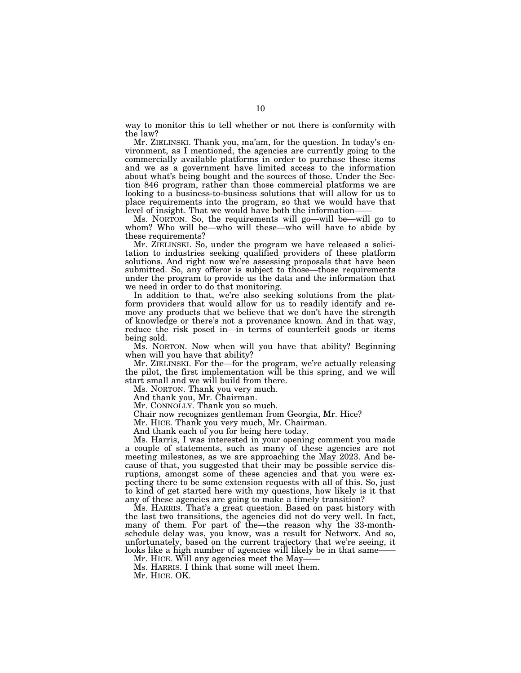way to monitor this to tell whether or not there is conformity with the law?

Mr. ZIELINSKI. Thank you, ma'am, for the question. In today's environment, as I mentioned, the agencies are currently going to the commercially available platforms in order to purchase these items and we as a government have limited access to the information about what's being bought and the sources of those. Under the Section 846 program, rather than those commercial platforms we are looking to a business-to-business solutions that will allow for us to place requirements into the program, so that we would have that level of insight. That we would have both the information——

Ms. NORTON. So, the requirements will go—will be—will go to whom? Who will be—who will these—who will have to abide by these requirements?

Mr. ZIELINSKI. So, under the program we have released a solicitation to industries seeking qualified providers of these platform solutions. And right now we're assessing proposals that have been submitted. So, any offeror is subject to those—those requirements under the program to provide us the data and the information that we need in order to do that monitoring.

In addition to that, we're also seeking solutions from the platform providers that would allow for us to readily identify and remove any products that we believe that we don't have the strength of knowledge or there's not a provenance known. And in that way, reduce the risk posed in—in terms of counterfeit goods or items being sold.

Ms. NORTON. Now when will you have that ability? Beginning when will you have that ability?

Mr. ZIELINSKI. For the—for the program, we're actually releasing the pilot, the first implementation will be this spring, and we will start small and we will build from there.

Ms. NORTON. Thank you very much.

And thank you, Mr. Chairman.

Mr. CONNOLLY. Thank you so much.

Chair now recognizes gentleman from Georgia, Mr. Hice?

Mr. HICE. Thank you very much, Mr. Chairman.

And thank each of you for being here today.

Ms. Harris, I was interested in your opening comment you made a couple of statements, such as many of these agencies are not meeting milestones, as we are approaching the May 2023. And because of that, you suggested that their may be possible service disruptions, amongst some of these agencies and that you were expecting there to be some extension requests with all of this. So, just to kind of get started here with my questions, how likely is it that any of these agencies are going to make a timely transition?

Ms. HARRIS. That's a great question. Based on past history with the last two transitions, the agencies did not do very well. In fact, many of them. For part of the—the reason why the 33-monthschedule delay was, you know, was a result for Networx. And so, unfortunately, based on the current trajectory that we're seeing, it looks like a high number of agencies will likely be in that same-

Mr. HICE. Will any agencies meet the May-

Ms. HARRIS. I think that some will meet them.

Mr. HICE. OK.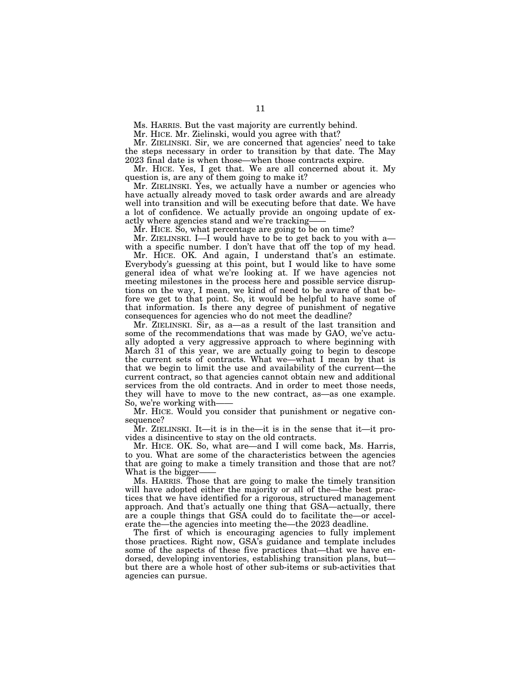Ms. HARRIS. But the vast majority are currently behind.

Mr. HICE. Mr. Zielinski, would you agree with that?

Mr. ZIELINSKI. Sir, we are concerned that agencies' need to take the steps necessary in order to transition by that date. The May 2023 final date is when those—when those contracts expire.

Mr. HICE. Yes, I get that. We are all concerned about it. My question is, are any of them going to make it?

Mr. ZIELINSKI. Yes, we actually have a number or agencies who have actually already moved to task order awards and are already well into transition and will be executing before that date. We have a lot of confidence. We actually provide an ongoing update of exactly where agencies stand and we're tracking-

Mr. HICE. So, what percentage are going to be on time?

Mr. ZIELINSKI. I—I would have to be to get back to you with a with a specific number. I don't have that off the top of my head.

Mr. HICE. OK. And again, I understand that's an estimate. Everybody's guessing at this point, but I would like to have some general idea of what we're looking at. If we have agencies not meeting milestones in the process here and possible service disruptions on the way, I mean, we kind of need to be aware of that before we get to that point. So, it would be helpful to have some of that information. Is there any degree of punishment of negative consequences for agencies who do not meet the deadline?

Mr. ZIELINSKI. Sir, as a—as a result of the last transition and some of the recommendations that was made by GAO, we've actually adopted a very aggressive approach to where beginning with March 31 of this year, we are actually going to begin to descope the current sets of contracts. What we—what I mean by that is that we begin to limit the use and availability of the current—the current contract, so that agencies cannot obtain new and additional services from the old contracts. And in order to meet those needs, they will have to move to the new contract, as—as one example. So, we're working with——

Mr. HICE. Would you consider that punishment or negative consequence?

Mr. ZIELINSKI. It—it is in the—it is in the sense that it—it provides a disincentive to stay on the old contracts.

Mr. HICE. OK. So, what are—and I will come back, Ms. Harris, to you. What are some of the characteristics between the agencies that are going to make a timely transition and those that are not? What is the bigger-

Ms. HARRIS. Those that are going to make the timely transition will have adopted either the majority or all of the—the best practices that we have identified for a rigorous, structured management approach. And that's actually one thing that GSA—actually, there are a couple things that GSA could do to facilitate the—or accelerate the—the agencies into meeting the—the 2023 deadline.

The first of which is encouraging agencies to fully implement those practices. Right now, GSA's guidance and template includes some of the aspects of these five practices that—that we have endorsed, developing inventories, establishing transition plans, but but there are a whole host of other sub-items or sub-activities that agencies can pursue.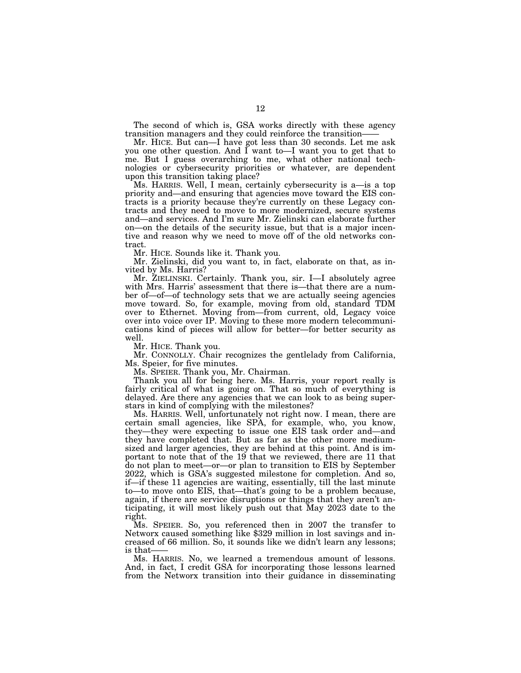The second of which is, GSA works directly with these agency transition managers and they could reinforce the transition——

Mr. HICE. But can—I have got less than 30 seconds. Let me ask you one other question. And I want to—I want you to get that to me. But I guess overarching to me, what other national technologies or cybersecurity priorities or whatever, are dependent upon this transition taking place?

Ms. HARRIS. Well, I mean, certainly cybersecurity is a—is a top priority and—and ensuring that agencies move toward the EIS contracts is a priority because they're currently on these Legacy contracts and they need to move to more modernized, secure systems and—and services. And I'm sure Mr. Zielinski can elaborate further on—on the details of the security issue, but that is a major incentive and reason why we need to move off of the old networks contract.

Mr. HICE. Sounds like it. Thank you.

Mr. Zielinski, did you want to, in fact, elaborate on that, as invited by Ms. Harris?

Mr. ZIELINSKI. Certainly. Thank you, sir. I—I absolutely agree with Mrs. Harris' assessment that there is—that there are a number of—of—of technology sets that we are actually seeing agencies move toward. So, for example, moving from old, standard TDM over to Ethernet. Moving from—from current, old, Legacy voice over into voice over IP. Moving to these more modern telecommunications kind of pieces will allow for better—for better security as well.

Mr. HICE. Thank you.

Mr. CONNOLLY. Chair recognizes the gentlelady from California, Ms. Speier, for five minutes.

Ms. SPEIER. Thank you, Mr. Chairman.

Thank you all for being here. Ms. Harris, your report really is fairly critical of what is going on. That so much of everything is delayed. Are there any agencies that we can look to as being superstars in kind of complying with the milestones?

Ms. HARRIS. Well, unfortunately not right now. I mean, there are certain small agencies, like SPA, for example, who, you know, they—they were expecting to issue one EIS task order and—and they have completed that. But as far as the other more mediumsized and larger agencies, they are behind at this point. And is important to note that of the 19 that we reviewed, there are 11 that do not plan to meet—or—or plan to transition to EIS by September 2022, which is GSA's suggested milestone for completion. And so, if—if these 11 agencies are waiting, essentially, till the last minute to—to move onto EIS, that—that's going to be a problem because, again, if there are service disruptions or things that they aren't anticipating, it will most likely push out that May 2023 date to the right.

Ms. SPEIER. So, you referenced then in 2007 the transfer to Networx caused something like \$329 million in lost savings and increased of 66 million. So, it sounds like we didn't learn any lessons; is that-

Ms. HARRIS. No, we learned a tremendous amount of lessons. And, in fact, I credit GSA for incorporating those lessons learned from the Networx transition into their guidance in disseminating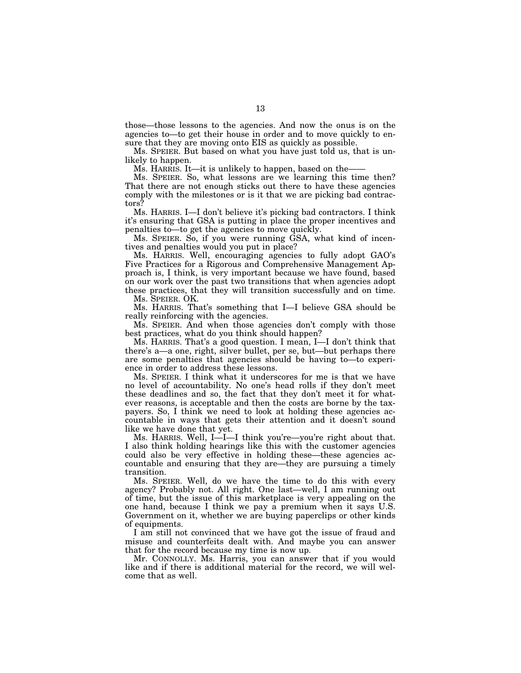those—those lessons to the agencies. And now the onus is on the agencies to—to get their house in order and to move quickly to ensure that they are moving onto EIS as quickly as possible.

Ms. SPEIER. But based on what you have just told us, that is unlikely to happen.

Ms. HARRIS. It—it is unlikely to happen, based on the–

Ms. SPEIER. So, what lessons are we learning this time then? That there are not enough sticks out there to have these agencies comply with the milestones or is it that we are picking bad contractors?

Ms. HARRIS. I—I don't believe it's picking bad contractors. I think it's ensuring that GSA is putting in place the proper incentives and penalties to—to get the agencies to move quickly.

Ms. SPEIER. So, if you were running GSA, what kind of incentives and penalties would you put in place?

Ms. HARRIS. Well, encouraging agencies to fully adopt GAO's Five Practices for a Rigorous and Comprehensive Management Approach is, I think, is very important because we have found, based on our work over the past two transitions that when agencies adopt these practices, that they will transition successfully and on time.

Ms. SPEIER. OK.

Ms. HARRIS. That's something that I—I believe GSA should be really reinforcing with the agencies.

Ms. SPEIER. And when those agencies don't comply with those best practices, what do you think should happen?

Ms. HARRIS. That's a good question. I mean, I—I don't think that there's a—a one, right, silver bullet, per se, but—but perhaps there are some penalties that agencies should be having to—to experience in order to address these lessons.

Ms. SPEIER. I think what it underscores for me is that we have no level of accountability. No one's head rolls if they don't meet these deadlines and so, the fact that they don't meet it for whatever reasons, is acceptable and then the costs are borne by the taxpayers. So, I think we need to look at holding these agencies accountable in ways that gets their attention and it doesn't sound like we have done that yet.

Ms. HARRIS. Well, I—I—I think you're—you're right about that. I also think holding hearings like this with the customer agencies could also be very effective in holding these—these agencies accountable and ensuring that they are—they are pursuing a timely transition.

Ms. SPEIER. Well, do we have the time to do this with every agency? Probably not. All right. One last—well, I am running out of time, but the issue of this marketplace is very appealing on the one hand, because I think we pay a premium when it says U.S. Government on it, whether we are buying paperclips or other kinds of equipments.

I am still not convinced that we have got the issue of fraud and misuse and counterfeits dealt with. And maybe you can answer that for the record because my time is now up.

Mr. CONNOLLY. Ms. Harris, you can answer that if you would like and if there is additional material for the record, we will welcome that as well.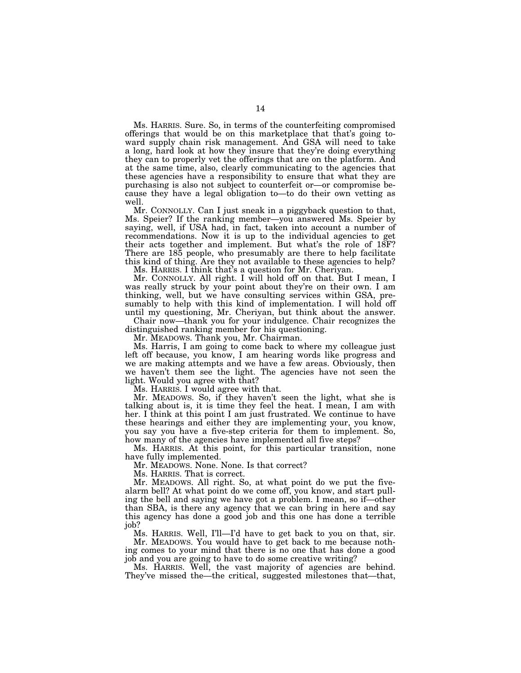Ms. HARRIS. Sure. So, in terms of the counterfeiting compromised offerings that would be on this marketplace that that's going toward supply chain risk management. And GSA will need to take a long, hard look at how they insure that they're doing everything they can to properly vet the offerings that are on the platform. And at the same time, also, clearly communicating to the agencies that these agencies have a responsibility to ensure that what they are purchasing is also not subject to counterfeit or—or compromise because they have a legal obligation to—to do their own vetting as well.

Mr. CONNOLLY. Can I just sneak in a piggyback question to that, Ms. Speier? If the ranking member—you answered Ms. Speier by saying, well, if USA had, in fact, taken into account a number of recommendations. Now it is up to the individual agencies to get their acts together and implement. But what's the role of 18F? There are 185 people, who presumably are there to help facilitate this kind of thing. Are they not available to these agencies to help?

Ms. HARRIS. I think that's a question for Mr. Cheriyan.

Mr. CONNOLLY. All right. I will hold off on that. But I mean, I was really struck by your point about they're on their own. I am thinking, well, but we have consulting services within GSA, presumably to help with this kind of implementation. I will hold off until my questioning, Mr. Cheriyan, but think about the answer.

Chair now—thank you for your indulgence. Chair recognizes the distinguished ranking member for his questioning.

Mr. MEADOWS. Thank you, Mr. Chairman.

Ms. Harris, I am going to come back to where my colleague just left off because, you know, I am hearing words like progress and we are making attempts and we have a few areas. Obviously, then we haven't them see the light. The agencies have not seen the light. Would you agree with that?

Ms. HARRIS. I would agree with that.

Mr. MEADOWS. So, if they haven't seen the light, what she is talking about is, it is time they feel the heat. I mean, I am with her. I think at this point I am just frustrated. We continue to have these hearings and either they are implementing your, you know, you say you have a five-step criteria for them to implement. So, how many of the agencies have implemented all five steps?

Ms. HARRIS. At this point, for this particular transition, none have fully implemented.

Mr. MEADOWS. None. None. Is that correct?

Ms. HARRIS. That is correct.

Mr. MEADOWS. All right. So, at what point do we put the fivealarm bell? At what point do we come off, you know, and start pulling the bell and saying we have got a problem. I mean, so if—other than SBA, is there any agency that we can bring in here and say this agency has done a good job and this one has done a terrible job?

Ms. HARRIS. Well, I'll—I'd have to get back to you on that, sir. Mr. MEADOWS. You would have to get back to me because nothing comes to your mind that there is no one that has done a good job and you are going to have to do some creative writing?

Ms. HARRIS. Well, the vast majority of agencies are behind. They've missed the—the critical, suggested milestones that—that,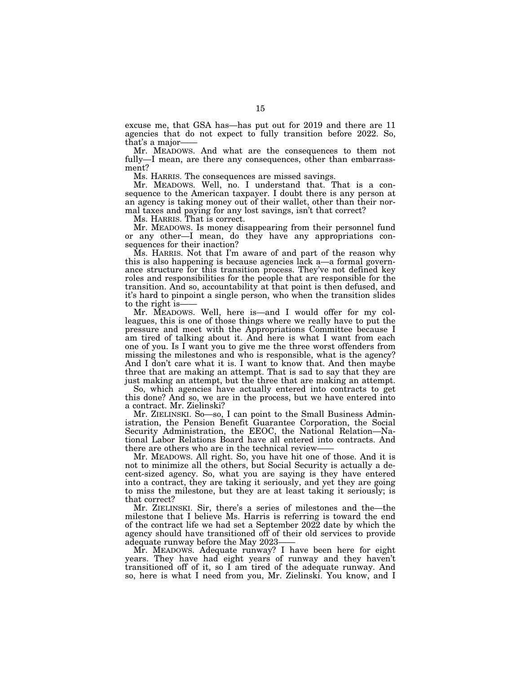excuse me, that GSA has—has put out for 2019 and there are 11 agencies that do not expect to fully transition before 2022. So, that's a major-

Mr. MEADOWS. And what are the consequences to them not fully—I mean, are there any consequences, other than embarrassment?

Ms. HARRIS. The consequences are missed savings.

Mr. MEADOWS. Well, no. I understand that. That is a consequence to the American taxpayer. I doubt there is any person at an agency is taking money out of their wallet, other than their normal taxes and paying for any lost savings, isn't that correct?

Ms. HARRIS. That is correct.

Mr. MEADOWS. Is money disappearing from their personnel fund or any other—I mean, do they have any appropriations consequences for their inaction?

Ms. HARRIS. Not that I'm aware of and part of the reason why this is also happening is because agencies lack a—a formal governance structure for this transition process. They've not defined key roles and responsibilities for the people that are responsible for the transition. And so, accountability at that point is then defused, and it's hard to pinpoint a single person, who when the transition slides to the right is-

Mr. MEADOWS. Well, here is—and I would offer for my colleagues, this is one of those things where we really have to put the pressure and meet with the Appropriations Committee because I am tired of talking about it. And here is what I want from each one of you. Is I want you to give me the three worst offenders from missing the milestones and who is responsible, what is the agency? And I don't care what it is. I want to know that. And then maybe three that are making an attempt. That is sad to say that they are just making an attempt, but the three that are making an attempt.

So, which agencies have actually entered into contracts to get this done? And so, we are in the process, but we have entered into a contract. Mr. Zielinski?

Mr. ZIELINSKI. So—so, I can point to the Small Business Administration, the Pension Benefit Guarantee Corporation, the Social Security Administration, the EEOC, the National Relation—National Labor Relations Board have all entered into contracts. And there are others who are in the technical review——

Mr. MEADOWS. All right. So, you have hit one of those. And it is not to minimize all the others, but Social Security is actually a decent-sized agency. So, what you are saying is they have entered into a contract, they are taking it seriously, and yet they are going to miss the milestone, but they are at least taking it seriously; is that correct?

Mr. ZIELINSKI. Sir, there's a series of milestones and the—the milestone that I believe Ms. Harris is referring is toward the end of the contract life we had set a September 2022 date by which the agency should have transitioned off of their old services to provide adequate runway before the May 2023-

Mr. MEADOWS. Adequate runway? I have been here for eight years. They have had eight years of runway and they haven't transitioned off of it, so I am tired of the adequate runway. And so, here is what I need from you, Mr. Zielinski. You know, and I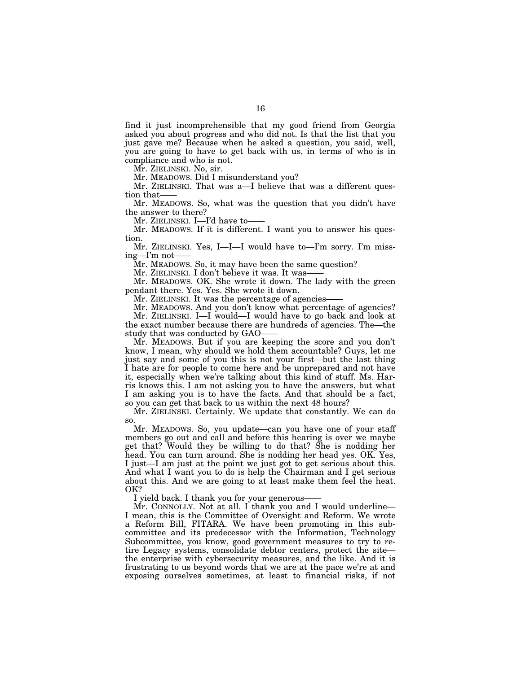find it just incomprehensible that my good friend from Georgia asked you about progress and who did not. Is that the list that you just gave me? Because when he asked a question, you said, well, you are going to have to get back with us, in terms of who is in compliance and who is not.

Mr. ZIELINSKI. No, sir.

Mr. MEADOWS. Did I misunderstand you?

Mr. ZIELINSKI. That was a—I believe that was a different question that-

Mr. MEADOWS. So, what was the question that you didn't have the answer to there?

Mr. ZIELINSKI. I—I'd have to-

Mr. MEADOWS. If it is different. I want you to answer his question.

Mr. ZIELINSKI. Yes, I—I—I would have to—I'm sorry. I'm missing—I'm not-

Mr. MEADOWS. So, it may have been the same question?

Mr. ZIELINSKI. I don't believe it was. It was-

Mr. MEADOWS. OK. She wrote it down. The lady with the green pendant there. Yes. Yes. She wrote it down.

Mr. ZIELINSKI. It was the percentage of agencies-

Mr. MEADOWS. And you don't know what percentage of agencies? Mr. ZIELINSKI. I—I would—I would have to go back and look at the exact number because there are hundreds of agencies. The—the study that was conducted by GAO–

Mr. MEADOWS. But if you are keeping the score and you don't know, I mean, why should we hold them accountable? Guys, let me just say and some of you this is not your first—but the last thing I hate are for people to come here and be unprepared and not have it, especially when we're talking about this kind of stuff. Ms. Harris knows this. I am not asking you to have the answers, but what I am asking you is to have the facts. And that should be a fact, so you can get that back to us within the next 48 hours?

Mr. ZIELINSKI. Certainly. We update that constantly. We can do so.

Mr. MEADOWS. So, you update—can you have one of your staff members go out and call and before this hearing is over we maybe get that? Would they be willing to do that? She is nodding her head. You can turn around. She is nodding her head yes. OK. Yes, I just—I am just at the point we just got to get serious about this. And what I want you to do is help the Chairman and I get serious about this. And we are going to at least make them feel the heat. OK?

I yield back. I thank you for your generous-

Mr. CONNOLLY. Not at all. I thank you and I would underline— I mean, this is the Committee of Oversight and Reform. We wrote a Reform Bill, FITARA. We have been promoting in this subcommittee and its predecessor with the Information, Technology Subcommittee, you know, good government measures to try to retire Legacy systems, consolidate debtor centers, protect the site the enterprise with cybersecurity measures, and the like. And it is frustrating to us beyond words that we are at the pace we're at and exposing ourselves sometimes, at least to financial risks, if not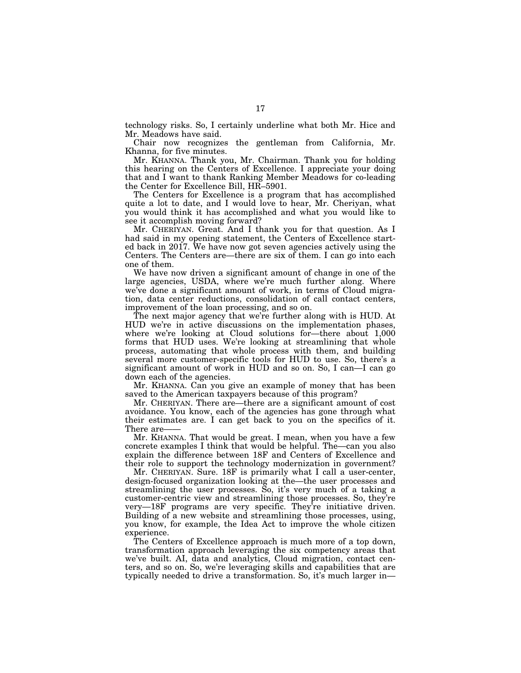technology risks. So, I certainly underline what both Mr. Hice and Mr. Meadows have said.

Chair now recognizes the gentleman from California, Mr. Khanna, for five minutes.

Mr. KHANNA. Thank you, Mr. Chairman. Thank you for holding this hearing on the Centers of Excellence. I appreciate your doing that and I want to thank Ranking Member Meadows for co-leading the Center for Excellence Bill, HR–5901.

The Centers for Excellence is a program that has accomplished quite a lot to date, and I would love to hear, Mr. Cheriyan, what you would think it has accomplished and what you would like to see it accomplish moving forward?

Mr. CHERIYAN. Great. And I thank you for that question. As I had said in my opening statement, the Centers of Excellence started back in 2017. We have now got seven agencies actively using the Centers. The Centers are—there are six of them. I can go into each one of them.

We have now driven a significant amount of change in one of the large agencies, USDA, where we're much further along. Where we've done a significant amount of work, in terms of Cloud migration, data center reductions, consolidation of call contact centers, improvement of the loan processing, and so on.

The next major agency that we're further along with is HUD. At HUD we're in active discussions on the implementation phases, where we're looking at Cloud solutions for—there about 1,000 forms that HUD uses. We're looking at streamlining that whole process, automating that whole process with them, and building several more customer-specific tools for HUD to use. So, there's a significant amount of work in HUD and so on. So, I can—I can go down each of the agencies.

Mr. KHANNA. Can you give an example of money that has been saved to the American taxpayers because of this program?

Mr. CHERIYAN. There are—there are a significant amount of cost avoidance. You know, each of the agencies has gone through what their estimates are. I can get back to you on the specifics of it. There are-

Mr. KHANNA. That would be great. I mean, when you have a few concrete examples I think that would be helpful. The—can you also explain the difference between 18F and Centers of Excellence and their role to support the technology modernization in government?

Mr. CHERIYAN. Sure. 18F is primarily what I call a user-center, design-focused organization looking at the—the user processes and streamlining the user processes. So, it's very much of a taking a customer-centric view and streamlining those processes. So, they're very—18F programs are very specific. They're initiative driven. Building of a new website and streamlining those processes, using, you know, for example, the Idea Act to improve the whole citizen experience.

The Centers of Excellence approach is much more of a top down, transformation approach leveraging the six competency areas that we've built. AI, data and analytics, Cloud migration, contact centers, and so on. So, we're leveraging skills and capabilities that are typically needed to drive a transformation. So, it's much larger in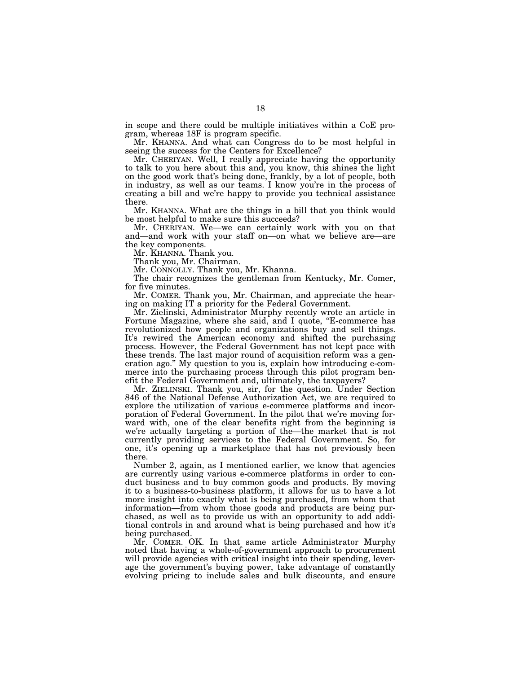in scope and there could be multiple initiatives within a CoE program, whereas 18F is program specific.

Mr. KHANNA. And what can Congress do to be most helpful in seeing the success for the Centers for Excellence?

Mr. CHERIYAN. Well, I really appreciate having the opportunity to talk to you here about this and, you know, this shines the light on the good work that's being done, frankly, by a lot of people, both in industry, as well as our teams. I know you're in the process of creating a bill and we're happy to provide you technical assistance there.

Mr. KHANNA. What are the things in a bill that you think would be most helpful to make sure this succeeds?

Mr. CHERIYAN. We—we can certainly work with you on that and—and work with your staff on—on what we believe are—are the key components.

Mr. KHANNA. Thank you.

Thank you, Mr. Chairman.

Mr. CONNOLLY. Thank you, Mr. Khanna.

The chair recognizes the gentleman from Kentucky, Mr. Comer, for five minutes.

Mr. COMER. Thank you, Mr. Chairman, and appreciate the hearing on making IT a priority for the Federal Government.

Mr. Zielinski, Administrator Murphy recently wrote an article in Fortune Magazine, where she said, and I quote, "E-commerce has revolutionized how people and organizations buy and sell things. It's rewired the American economy and shifted the purchasing process. However, the Federal Government has not kept pace with these trends. The last major round of acquisition reform was a generation ago.'' My question to you is, explain how introducing e-commerce into the purchasing process through this pilot program benefit the Federal Government and, ultimately, the taxpayers?

Mr. ZIELINSKI. Thank you, sir, for the question. Under Section 846 of the National Defense Authorization Act, we are required to explore the utilization of various e-commerce platforms and incorporation of Federal Government. In the pilot that we're moving forward with, one of the clear benefits right from the beginning is we're actually targeting a portion of the—the market that is not currently providing services to the Federal Government. So, for one, it's opening up a marketplace that has not previously been there.

Number 2, again, as I mentioned earlier, we know that agencies are currently using various e-commerce platforms in order to conduct business and to buy common goods and products. By moving it to a business-to-business platform, it allows for us to have a lot more insight into exactly what is being purchased, from whom that information—from whom those goods and products are being purchased, as well as to provide us with an opportunity to add additional controls in and around what is being purchased and how it's being purchased.

Mr. COMER. OK. In that same article Administrator Murphy noted that having a whole-of-government approach to procurement will provide agencies with critical insight into their spending, leverage the government's buying power, take advantage of constantly evolving pricing to include sales and bulk discounts, and ensure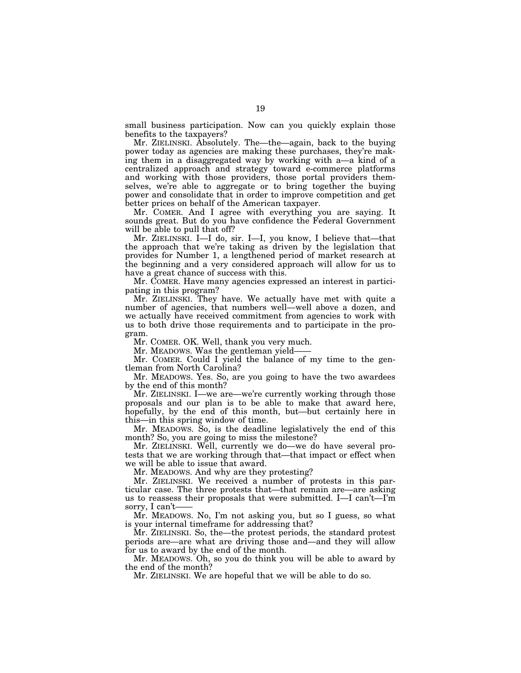small business participation. Now can you quickly explain those benefits to the taxpayers?

Mr. ZIELINSKI. Absolutely. The—the—again, back to the buying power today as agencies are making these purchases, they're making them in a disaggregated way by working with a—a kind of a centralized approach and strategy toward e-commerce platforms and working with those providers, those portal providers themselves, we're able to aggregate or to bring together the buying power and consolidate that in order to improve competition and get better prices on behalf of the American taxpayer.

Mr. COMER. And I agree with everything you are saying. It sounds great. But do you have confidence the Federal Government will be able to pull that off?

Mr. ZIELINSKI. I—I do, sir. I—I, you know, I believe that—that the approach that we're taking as driven by the legislation that provides for Number 1, a lengthened period of market research at the beginning and a very considered approach will allow for us to have a great chance of success with this.

Mr. COMER. Have many agencies expressed an interest in participating in this program?

Mr. ZIELINSKI. They have. We actually have met with quite a number of agencies, that numbers well—well above a dozen, and we actually have received commitment from agencies to work with us to both drive those requirements and to participate in the program.

Mr. COMER. OK. Well, thank you very much.

Mr. MEADOWS. Was the gentleman yield-

Mr. COMER. Could I yield the balance of my time to the gentleman from North Carolina?

Mr. MEADOWS. Yes. So, are you going to have the two awardees by the end of this month?

Mr. ZIELINSKI. I—we are—we're currently working through those proposals and our plan is to be able to make that award here, hopefully, by the end of this month, but—but certainly here in this—in this spring window of time.

Mr. MEADOWS. So, is the deadline legislatively the end of this month? So, you are going to miss the milestone?

Mr. ZIELINSKI. Well, currently we do—we do have several protests that we are working through that—that impact or effect when we will be able to issue that award.

Mr. MEADOWS. And why are they protesting?

Mr. ZIELINSKI. We received a number of protests in this particular case. The three protests that—that remain are—are asking us to reassess their proposals that were submitted. I—I can't—I'm sorry, I can't-

Mr. MEADOWS. No, I'm not asking you, but so I guess, so what is your internal timeframe for addressing that?

Mr. ZIELINSKI. So, the—the protest periods, the standard protest periods are—are what are driving those and—and they will allow for us to award by the end of the month.

Mr. MEADOWS. Oh, so you do think you will be able to award by the end of the month?

Mr. ZIELINSKI. We are hopeful that we will be able to do so.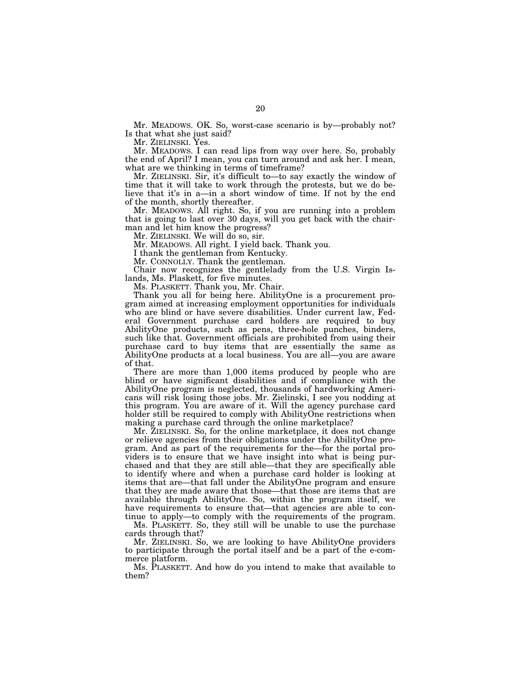Mr. MEADOWS. OK. So, worst-case scenario is by—probably not? Is that what she just said?

Mr. ZIELINSKI. Yes.

Mr. MEADOWS. I can read lips from way over here. So, probably the end of April? I mean, you can turn around and ask her. I mean, what are we thinking in terms of timeframe?

Mr. ZIELINSKI. Sir, it's difficult to—to say exactly the window of time that it will take to work through the protests, but we do believe that it's in a—in a short window of time. If not by the end of the month, shortly thereafter.

Mr. MEADOWS. All right. So, if you are running into a problem that is going to last over 30 days, will you get back with the chairman and let him know the progress?

Mr. ZIELINSKI. We will do so, sir.

Mr. MEADOWS. All right. I yield back. Thank you.

I thank the gentleman from Kentucky.

Mr. CONNOLLY. Thank the gentleman.

Chair now recognizes the gentlelady from the U.S. Virgin Islands, Ms. Plaskett, for five minutes.

Ms. PLASKETT. Thank you, Mr. Chair.

Thank you all for being here. AbilityOne is a procurement program aimed at increasing employment opportunities for individuals who are blind or have severe disabilities. Under current law, Federal Government purchase card holders are required to buy AbilityOne products, such as pens, three-hole punches, binders, such like that. Government officials are prohibited from using their purchase card to buy items that are essentially the same as AbilityOne products at a local business. You are all—you are aware of that.

There are more than 1,000 items produced by people who are blind or have significant disabilities and if compliance with the AbilityOne program is neglected, thousands of hardworking Americans will risk losing those jobs. Mr. Zielinski, I see you nodding at this program. You are aware of it. Will the agency purchase card holder still be required to comply with AbilityOne restrictions when making a purchase card through the online marketplace?

Mr. ZIELINSKI. So, for the online marketplace, it does not change or relieve agencies from their obligations under the AbilityOne program. And as part of the requirements for the—for the portal providers is to ensure that we have insight into what is being purchased and that they are still able—that they are specifically able to identify where and when a purchase card holder is looking at items that are—that fall under the AbilityOne program and ensure that they are made aware that those—that those are items that are available through AbilityOne. So, within the program itself, we have requirements to ensure that—that agencies are able to continue to apply—to comply with the requirements of the program.

Ms. PLASKETT. So, they still will be unable to use the purchase cards through that?

Mr. ZIELINSKI. So, we are looking to have AbilityOne providers to participate through the portal itself and be a part of the e-commerce platform.

Ms. PLASKETT. And how do you intend to make that available to them?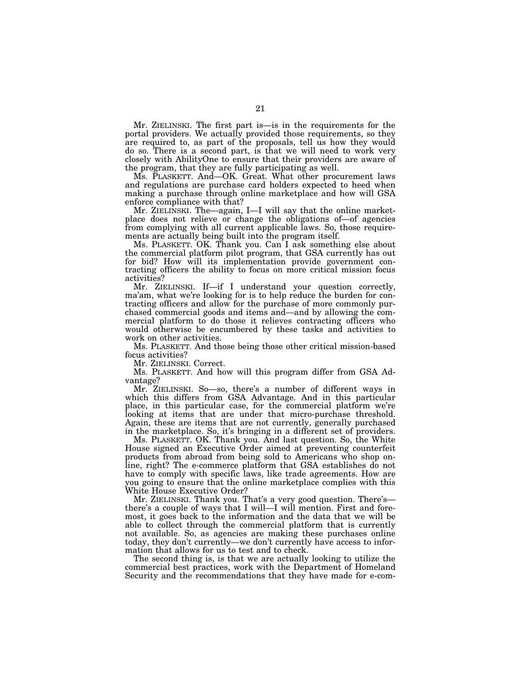Mr. ZIELINSKI. The first part is—is in the requirements for the portal providers. We actually provided those requirements, so they are required to, as part of the proposals, tell us how they would do so. There is a second part, is that we will need to work very closely with AbilityOne to ensure that their providers are aware of the program, that they are fully participating as well.

Ms. PLASKETT. And—OK. Great. What other procurement laws and regulations are purchase card holders expected to heed when making a purchase through online marketplace and how will GSA enforce compliance with that?

Mr. ZIELINSKI. The—again, I—I will say that the online marketplace does not relieve or change the obligations of—of agencies from complying with all current applicable laws. So, those requirements are actually being built into the program itself.

Ms. PLASKETT. OK. Thank you. Can I ask something else about the commercial platform pilot program, that GSA currently has out for bid? How will its implementation provide government contracting officers the ability to focus on more critical mission focus activities?

Mr. ZIELINSKI. If—if I understand your question correctly, ma'am, what we're looking for is to help reduce the burden for contracting officers and allow for the purchase of more commonly purchased commercial goods and items and—and by allowing the commercial platform to do those it relieves contracting officers who would otherwise be encumbered by these tasks and activities to work on other activities.

Ms. PLASKETT. And those being those other critical mission-based focus activities?

Mr. ZIELINSKI. Correct.

Ms. PLASKETT. And how will this program differ from GSA Advantage?

Mr. ZIELINSKI. So—so, there's a number of different ways in which this differs from GSA Advantage. And in this particular place, in this particular case, for the commercial platform we're looking at items that are under that micro-purchase threshold. Again, these are items that are not currently, generally purchased in the marketplace. So, it's bringing in a different set of providers.

Ms. PLASKETT. OK. Thank you. And last question. So, the White House signed an Executive Order aimed at preventing counterfeit products from abroad from being sold to Americans who shop online, right? The e-commerce platform that GSA establishes do not have to comply with specific laws, like trade agreements. How are you going to ensure that the online marketplace complies with this White House Executive Order?

Mr. ZIELINSKI. Thank you. That's a very good question. There's there's a couple of ways that I will—I will mention. First and foremost, it goes back to the information and the data that we will be able to collect through the commercial platform that is currently not available. So, as agencies are making these purchases online today, they don't currently—we don't currently have access to information that allows for us to test and to check.

The second thing is, is that we are actually looking to utilize the commercial best practices, work with the Department of Homeland Security and the recommendations that they have made for e-com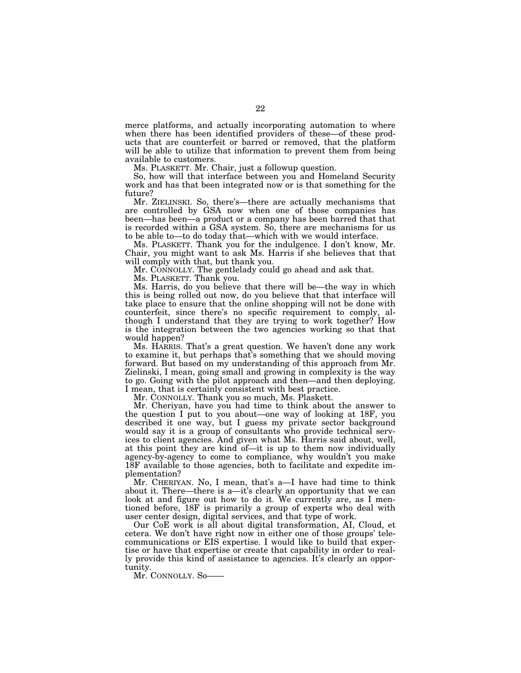merce platforms, and actually incorporating automation to where when there has been identified providers of these—of these products that are counterfeit or barred or removed, that the platform will be able to utilize that information to prevent them from being available to customers.

Ms. PLASKETT. Mr. Chair, just a followup question.

So, how will that interface between you and Homeland Security work and has that been integrated now or is that something for the future?

Mr. ZIELINSKI. So, there's—there are actually mechanisms that are controlled by GSA now when one of those companies has been—has been—a product or a company has been barred that that is recorded within a GSA system. So, there are mechanisms for us to be able to—to do today that—which with we would interface.

Ms. PLASKETT. Thank you for the indulgence. I don't know, Mr. Chair, you might want to ask Ms. Harris if she believes that that will comply with that, but thank you.

Mr. CONNOLLY. The gentlelady could go ahead and ask that.

Ms. PLASKETT. Thank you.

Ms. Harris, do you believe that there will be—the way in which this is being rolled out now, do you believe that that interface will take place to ensure that the online shopping will not be done with counterfeit, since there's no specific requirement to comply, although I understand that they are trying to work together? How is the integration between the two agencies working so that that would happen?

Ms. HARRIS. That's a great question. We haven't done any work to examine it, but perhaps that's something that we should moving forward. But based on my understanding of this approach from Mr. Zielinski, I mean, going small and growing in complexity is the way to go. Going with the pilot approach and then—and then deploying. I mean, that is certainly consistent with best practice.

Mr. CONNOLLY. Thank you so much, Ms. Plaskett.

Mr. Cheriyan, have you had time to think about the answer to the question I put to you about—one way of looking at 18F, you described it one way, but I guess my private sector background would say it is a group of consultants who provide technical services to client agencies. And given what Ms. Harris said about, well, at this point they are kind of—it is up to them now individually agency-by-agency to come to compliance, why wouldn't you make 18F available to those agencies, both to facilitate and expedite implementation?

Mr. CHERIYAN. No, I mean, that's a—I have had time to think about it. There—there is a—it's clearly an opportunity that we can look at and figure out how to do it. We currently are, as I mentioned before, 18F is primarily a group of experts who deal with user center design, digital services, and that type of work.

Our CoE work is all about digital transformation, AI, Cloud, et cetera. We don't have right now in either one of those groups' telecommunications or EIS expertise. I would like to build that expertise or have that expertise or create that capability in order to really provide this kind of assistance to agencies. It's clearly an opportunity.

Mr. CONNOLLY. So——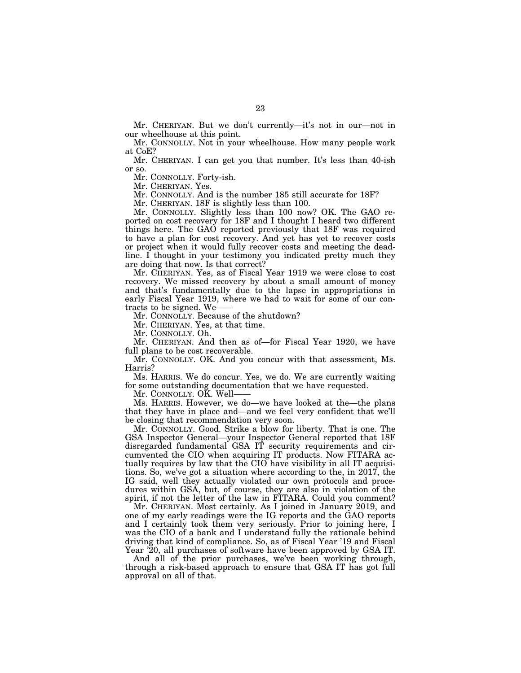Mr. CHERIYAN. But we don't currently—it's not in our—not in our wheelhouse at this point.

Mr. CONNOLLY. Not in your wheelhouse. How many people work at CoE?

Mr. CHERIYAN. I can get you that number. It's less than 40-ish or so.

Mr. CONNOLLY. Forty-ish.

Mr. CHERIYAN. Yes.

Mr. CONNOLLY. And is the number 185 still accurate for 18F?

Mr. CHERIYAN. 18F is slightly less than 100.

Mr. CONNOLLY. Slightly less than 100 now? OK. The GAO reported on cost recovery for 18F and I thought I heard two different things here. The GAO reported previously that 18F was required to have a plan for cost recovery. And yet has yet to recover costs or project when it would fully recover costs and meeting the deadline. I thought in your testimony you indicated pretty much they are doing that now. Is that correct?

Mr. CHERIYAN. Yes, as of Fiscal Year 1919 we were close to cost recovery. We missed recovery by about a small amount of money and that's fundamentally due to the lapse in appropriations in early Fiscal Year 1919, where we had to wait for some of our contracts to be signed. We——

Mr. CONNOLLY. Because of the shutdown?

Mr. CHERIYAN. Yes, at that time.

Mr. CONNOLLY. Oh.

Mr. CHERIYAN. And then as of—for Fiscal Year 1920, we have full plans to be cost recoverable.

Mr. CONNOLLY. OK. And you concur with that assessment, Ms. Harris?

Ms. HARRIS. We do concur. Yes, we do. We are currently waiting for some outstanding documentation that we have requested.

Mr. CONNOLLY. OK. Well-

Ms. HARRIS. However, we do—we have looked at the—the plans that they have in place and—and we feel very confident that we'll be closing that recommendation very soon.

Mr. CONNOLLY. Good. Strike a blow for liberty. That is one. The GSA Inspector General—your Inspector General reported that 18F disregarded fundamental GSA IT security requirements and circumvented the CIO when acquiring IT products. Now FITARA actually requires by law that the CIO have visibility in all IT acquisitions. So, we've got a situation where according to the, in 2017, the IG said, well they actually violated our own protocols and procedures within GSA, but, of course, they are also in violation of the spirit, if not the letter of the law in FITARA. Could you comment?

Mr. CHERIYAN. Most certainly. As I joined in January 2019, and one of my early readings were the IG reports and the GAO reports and I certainly took them very seriously. Prior to joining here, I was the CIO of a bank and I understand fully the rationale behind driving that kind of compliance. So, as of Fiscal Year '19 and Fiscal Year '20, all purchases of software have been approved by GSA IT.

And all of the prior purchases, we've been working through, through a risk-based approach to ensure that GSA IT has got full approval on all of that.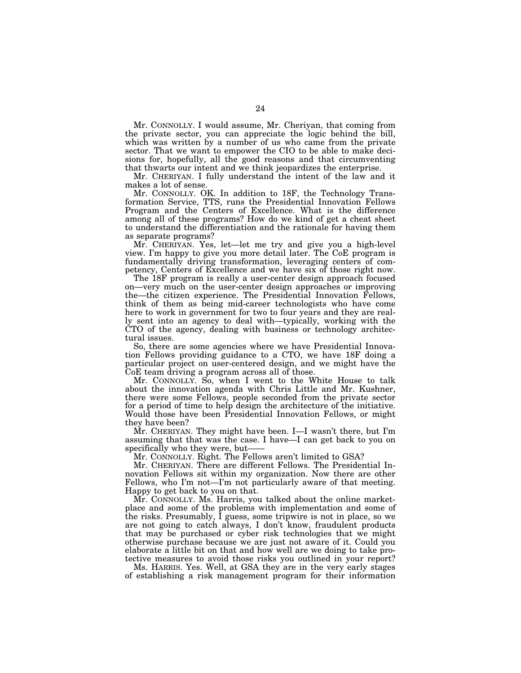Mr. CONNOLLY. I would assume, Mr. Cheriyan, that coming from the private sector, you can appreciate the logic behind the bill, which was written by a number of us who came from the private sector. That we want to empower the CIO to be able to make decisions for, hopefully, all the good reasons and that circumventing that thwarts our intent and we think jeopardizes the enterprise.

Mr. CHERIYAN. I fully understand the intent of the law and it makes a lot of sense.

Mr. CONNOLLY. OK. In addition to 18F, the Technology Transformation Service, TTS, runs the Presidential Innovation Fellows Program and the Centers of Excellence. What is the difference among all of these programs? How do we kind of get a cheat sheet to understand the differentiation and the rationale for having them as separate programs?

Mr. CHERIYAN. Yes, let—let me try and give you a high-level view. I'm happy to give you more detail later. The CoE program is fundamentally driving transformation, leveraging centers of competency, Centers of Excellence and we have six of those right now.

The 18F program is really a user-center design approach focused on—very much on the user-center design approaches or improving the—the citizen experience. The Presidential Innovation Fellows, think of them as being mid-career technologists who have come here to work in government for two to four years and they are really sent into an agency to deal with—typically, working with the CTO of the agency, dealing with business or technology architectural issues.

So, there are some agencies where we have Presidential Innovation Fellows providing guidance to a CTO, we have 18F doing a particular project on user-centered design, and we might have the CoE team driving a program across all of those.

Mr. CONNOLLY. So, when I went to the White House to talk about the innovation agenda with Chris Little and Mr. Kushner, there were some Fellows, people seconded from the private sector for a period of time to help design the architecture of the initiative. Would those have been Presidential Innovation Fellows, or might they have been?

Mr. CHERIYAN. They might have been. I—I wasn't there, but I'm assuming that that was the case. I have—I can get back to you on specifically who they were, but-

Mr. CONNOLLY. Right. The Fellows aren't limited to GSA?

Mr. CHERIYAN. There are different Fellows. The Presidential Innovation Fellows sit within my organization. Now there are other Fellows, who I'm not—I'm not particularly aware of that meeting. Happy to get back to you on that.

Mr. CONNOLLY. Ms. Harris, you talked about the online marketplace and some of the problems with implementation and some of the risks. Presumably, I guess, some tripwire is not in place, so we are not going to catch always, I don't know, fraudulent products that may be purchased or cyber risk technologies that we might otherwise purchase because we are just not aware of it. Could you elaborate a little bit on that and how well are we doing to take protective measures to avoid those risks you outlined in your report?

Ms. HARRIS. Yes. Well, at GSA they are in the very early stages of establishing a risk management program for their information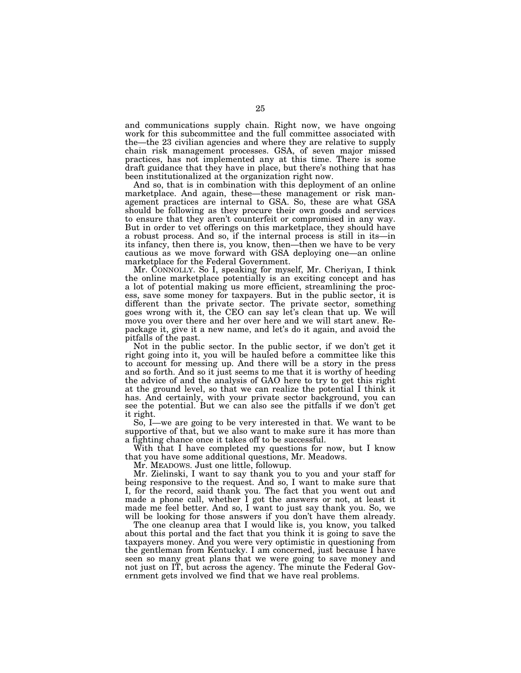and communications supply chain. Right now, we have ongoing work for this subcommittee and the full committee associated with the—the 23 civilian agencies and where they are relative to supply chain risk management processes. GSA, of seven major missed practices, has not implemented any at this time. There is some draft guidance that they have in place, but there's nothing that has been institutionalized at the organization right now.

And so, that is in combination with this deployment of an online marketplace. And again, these—these management or risk management practices are internal to GSA. So, these are what GSA should be following as they procure their own goods and services to ensure that they aren't counterfeit or compromised in any way. But in order to vet offerings on this marketplace, they should have a robust process. And so, if the internal process is still in its—in its infancy, then there is, you know, then—then we have to be very cautious as we move forward with GSA deploying one—an online marketplace for the Federal Government.

Mr. CONNOLLY. So I, speaking for myself, Mr. Cheriyan, I think the online marketplace potentially is an exciting concept and has a lot of potential making us more efficient, streamlining the process, save some money for taxpayers. But in the public sector, it is different than the private sector. The private sector, something goes wrong with it, the CEO can say let's clean that up. We will move you over there and her over here and we will start anew. Repackage it, give it a new name, and let's do it again, and avoid the pitfalls of the past.

Not in the public sector. In the public sector, if we don't get it right going into it, you will be hauled before a committee like this to account for messing up. And there will be a story in the press and so forth. And so it just seems to me that it is worthy of heeding the advice of and the analysis of GAO here to try to get this right at the ground level, so that we can realize the potential I think it has. And certainly, with your private sector background, you can see the potential. But we can also see the pitfalls if we don't get it right.

So, I—we are going to be very interested in that. We want to be supportive of that, but we also want to make sure it has more than a fighting chance once it takes off to be successful.

With that I have completed my questions for now, but I know that you have some additional questions, Mr. Meadows.

Mr. MEADOWS. Just one little, followup.

Mr. Zielinski, I want to say thank you to you and your staff for being responsive to the request. And so, I want to make sure that I, for the record, said thank you. The fact that you went out and made a phone call, whether I got the answers or not, at least it made me feel better. And so, I want to just say thank you. So, we will be looking for those answers if you don't have them already.

The one cleanup area that I would like is, you know, you talked about this portal and the fact that you think it is going to save the taxpayers money. And you were very optimistic in questioning from the gentleman from Kentucky. I am concerned, just because I have seen so many great plans that we were going to save money and not just on IT, but across the agency. The minute the Federal Government gets involved we find that we have real problems.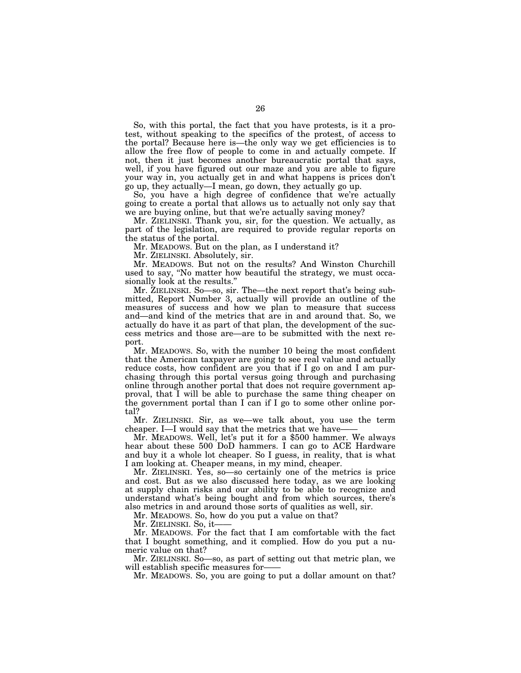So, with this portal, the fact that you have protests, is it a protest, without speaking to the specifics of the protest, of access to the portal? Because here is—the only way we get efficiencies is to allow the free flow of people to come in and actually compete. If not, then it just becomes another bureaucratic portal that says, well, if you have figured out our maze and you are able to figure your way in, you actually get in and what happens is prices don't go up, they actually—I mean, go down, they actually go up.

So, you have a high degree of confidence that we're actually going to create a portal that allows us to actually not only say that we are buying online, but that we're actually saving money?

Mr. ZIELINSKI. Thank you, sir, for the question. We actually, as part of the legislation, are required to provide regular reports on the status of the portal.

Mr. MEADOWS. But on the plan, as I understand it?

Mr. ZIELINSKI. Absolutely, sir.

Mr. MEADOWS. But not on the results? And Winston Churchill used to say, ''No matter how beautiful the strategy, we must occasionally look at the results."

Mr. ZIELINSKI. So—so, sir. The—the next report that's being submitted, Report Number 3, actually will provide an outline of the measures of success and how we plan to measure that success and—and kind of the metrics that are in and around that. So, we actually do have it as part of that plan, the development of the success metrics and those are—are to be submitted with the next report.

Mr. MEADOWS. So, with the number 10 being the most confident that the American taxpayer are going to see real value and actually reduce costs, how confident are you that if I go on and I am purchasing through this portal versus going through and purchasing online through another portal that does not require government approval, that I will be able to purchase the same thing cheaper on the government portal than I can if I go to some other online portal?

Mr. ZIELINSKI. Sir, as we—we talk about, you use the term cheaper. I—I would say that the metrics that we have-

Mr. MEADOWS. Well, let's put it for a \$500 hammer. We always hear about these 500 DoD hammers. I can go to ACE Hardware and buy it a whole lot cheaper. So I guess, in reality, that is what I am looking at. Cheaper means, in my mind, cheaper.

Mr. ZIELINSKI. Yes, so—so certainly one of the metrics is price and cost. But as we also discussed here today, as we are looking at supply chain risks and our ability to be able to recognize and understand what's being bought and from which sources, there's also metrics in and around those sorts of qualities as well, sir.

Mr. MEADOWS. So, how do you put a value on that?

Mr. ZIELINSKI. So, it——

Mr. MEADOWS. For the fact that I am comfortable with the fact that I bought something, and it complied. How do you put a numeric value on that?

Mr. ZIELINSKI. So—so, as part of setting out that metric plan, we will establish specific measures for-

Mr. MEADOWS. So, you are going to put a dollar amount on that?